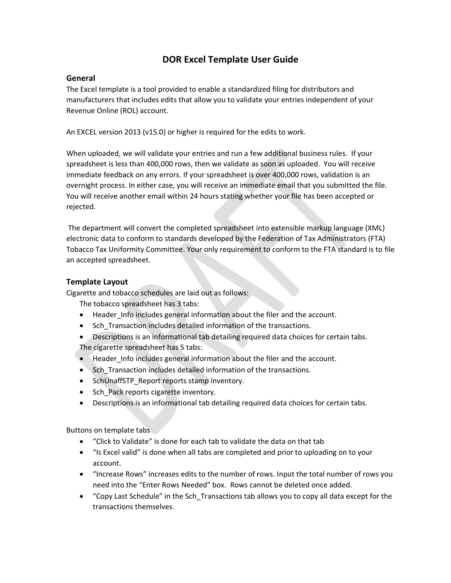# **DOR Excel Template User Guide**

## **General**

The Excel template is a tool provided to enable a standardized filing for distributors and manufacturers that includes edits that allow you to validate your entries independent of your Revenue Online (ROL) account.

An EXCEL version 2013 (v15.0) or higher is required for the edits to work.

When uploaded, we will validate your entries and run a few additional business rules. If your spreadsheet is less than 400,000 rows, then we validate as soon as uploaded. You will receive immediate feedback on any errors. If your spreadsheet is over 400,000 rows, validation is an overnight process. In either case, you will receive an immediate email that you submitted the file. You will receive another email within 24 hours stating whether your file has been accepted or rejected.

The department will convert the completed spreadsheet into extensible markup language (XML) electronic data to conform to standards developed by the Federation of Tax Administrators (FTA) Tobacco Tax Uniformity Committee. Your only requirement to conform to the FTA standard is to file an accepted spreadsheet.

## **Template Layout**

Cigarette and tobacco schedules are laid out as follows:

The tobacco spreadsheet has 3 tabs:

- Header Info includes general information about the filer and the account.
- Sch Transaction includes detailed information of the transactions.
- Descriptions is an informational tab detailing required data choices for certain tabs. The cigarette spreadsheet has 5 tabs:
- Header\_Info includes general information about the filer and the account.
- Sch\_Transaction includes detailed information of the transactions.
- SchUnaffSTP\_Report reports stamp inventory.
- Sch\_Pack reports cigarette inventory.
- Descriptions is an informational tab detailing required data choices for certain tabs.

Buttons on template tabs

- "Click to Validate" is done for each tab to validate the data on that tab
- "Is Excel valid" is done when all tabs are completed and prior to uploading on to your account.
- "Increase Rows" increases edits to the number of rows. Input the total number of rows you need into the "Enter Rows Needed" box. Rows cannot be deleted once added.
- "Copy Last Schedule" in the Sch\_Transactions tab allows you to copy all data except for the transactions themselves.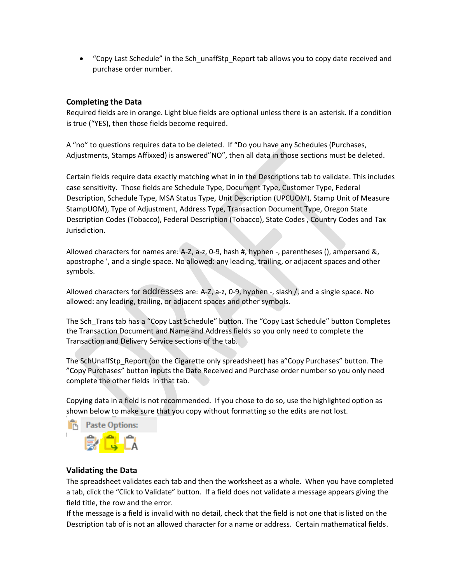• "Copy Last Schedule" in the Sch\_unaffStp\_Report tab allows you to copy date received and purchase order number.

# **Completing the Data**

Required fields are in orange. Light blue fields are optional unless there is an asterisk. If a condition is true ("YES), then those fields become required.

A "no" to questions requires data to be deleted. If "Do you have any Schedules (Purchases, Adjustments, Stamps Affixxed) is answered"NO", then all data in those sections must be deleted.

Certain fields require data exactly matching what in in the Descriptions tab to validate. This includes case sensitivity. Those fields are Schedule Type, Document Type, Customer Type, Federal Description, Schedule Type, MSA Status Type, Unit Description (UPCUOM), Stamp Unit of Measure StampUOM), Type of Adjustment, Address Type, Transaction Document Type, Oregon State Description Codes (Tobacco), Federal Description (Tobacco), State Codes , Country Codes and Tax Jurisdiction.

Allowed characters for names are: A-Z, a-z, 0-9, hash #, hyphen -, parentheses (), ampersand &, apostrophe ', and a single space. No allowed: any leading, trailing, or adjacent spaces and other symbols.

Allowed characters for addresses are: A-Z, a-z, 0-9, hyphen -, slash /, and a single space. No allowed: any leading, trailing, or adjacent spaces and other symbols.

The Sch\_Trans tab has a "Copy Last Schedule" button. The "Copy Last Schedule" button Completes the Transaction Document and Name and Address fields so you only need to complete the Transaction and Delivery Service sections of the tab.

The SchUnaffStp\_Report (on the Cigarette only spreadsheet) has a"Copy Purchases" button. The "Copy Purchases" button inputs the Date Received and Purchase order number so you only need complete the other fields in that tab.

Copying data in a field is not recommended. If you chose to do so, use the highlighted option as shown below to make sure that you copy without formatting so the edits are not lost.

**Paste Options: IB** 

## **Validating the Data**

The spreadsheet validates each tab and then the worksheet as a whole. When you have completed a tab, click the "Click to Validate" button. If a field does not validate a message appears giving the field title, the row and the error.

If the message is a field is invalid with no detail, check that the field is not one that is listed on the Description tab of is not an allowed character for a name or address. Certain mathematical fields.